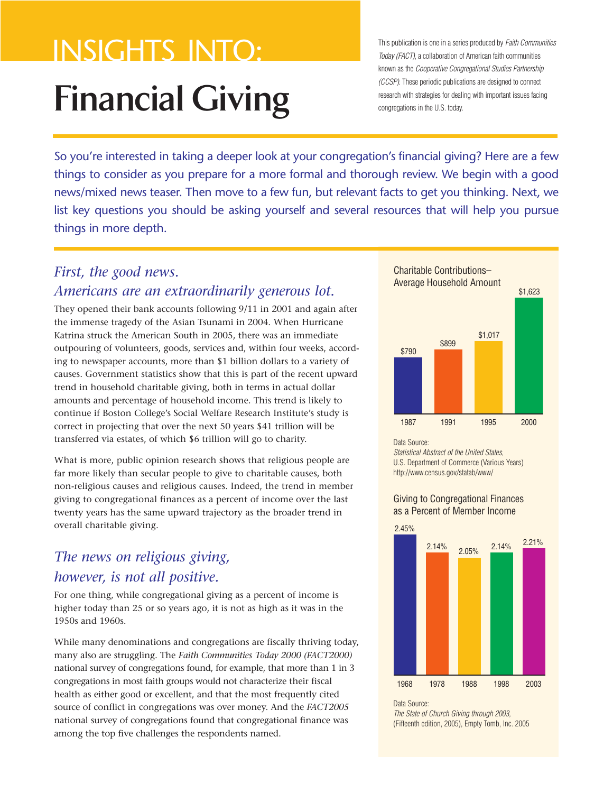# **Financial Giving** INSIGHTS INTO:

This publication is one in a series produced by *Faith Communities* Today (FACT), a collaboration of American faith communities known as the Cooperative Congregational Studies Partnership (CCSP). These periodic publications are designed to connect research with strategies for dealing with important issues facing congregations in the U.S. today.

So you're interested in taking a deeper look at your congregation's financial giving? Here are a few things to consider as you prepare for a more formal and thorough review. We begin with a good news/mixed news teaser. Then move to a few fun, but relevant facts to get you thinking. Next, we list key questions you should be asking yourself and several resources that will help you pursue things in more depth. Francial giving? H<br>Th review. We begint<br>The Contributions –<br>Charitable Contributions<br>Charitable Contributions

#### *First, the good news. Americans are an extraordinarily generous lot.*

They opened their bank accounts following 9/11 in 2001 and again after the immense tragedy of the Asian Tsunami in 2004. When Hurricane Katrina struck the American South in 2005, there was an immediate outpouring of volunteers, goods, services and, within four weeks, according to newspaper accounts, more than \$1 billion dollars to a variety of causes. Government statistics show that this is part of the recent upward trend in household charitable giving, both in terms in actual dollar amounts and percentage of household income. This trend is likely to continue if Boston College's Social Welfare Research Institute's study is correct in projecting that over the next 50 years \$41 trillion will be transferred via estates, of which \$6 trillion will go to charity.

What is more, public opinion research shows that religious people are far more likely than secular people to give to charitable causes, both non-religious causes and religious causes. Indeed, the trend in member giving to congregational finances as a percent of income over the last twenty years has the same upward trajectory as the broader trend in overall charitable giving.

## *The news on religious giving, however, is not all positive.*

For one thing, while congregational giving as a percent of income is higher today than 25 or so years ago, it is not as high as it was in the 1950s and 1960s.

While many denominations and congregations are fiscally thriving today, many also are struggling. The *Faith Communities Today 2000 (FACT2000)* national survey of congregations found, for example, that more than 1 in 3 congregations in most faith groups would not characterize their fiscal health as either good or excellent, and that the most frequently cited source of conflict in congregations was over money. And the *FACT2005* national survey of congregations found that congregational finance was among the top five challenges the respondents named.



Data Source:

Statistical Abstract of the United States, U.S. Department of Commerce (Various Years) http://www.census.gov/statab/www/

#### Giving to Congregational Finances as a Percent of Member Income



Data Source:

The State of Church Giving through 2003, (Fifteenth edition, 2005), Empty Tomb, Inc. 2005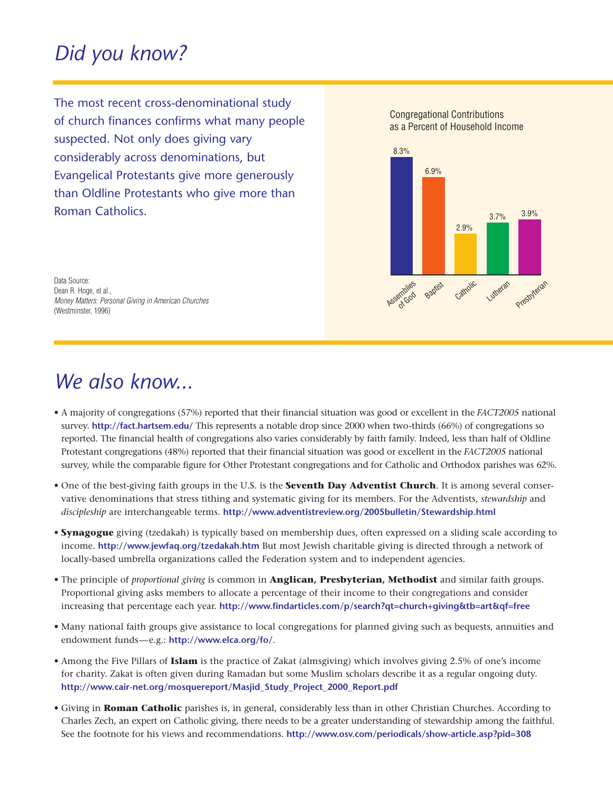# *Did you know?*

The most recent cross-denominational study of church finances confirms what many people suspected. Not only does giving vary considerably across denominations, but Evangelical Protestants give more generously than Oldline Protestants who give more than Roman Catholics.

Congregational Contributions as a Percent of Household Income



Data Source: Dean R. Hoge, et al., Money Matters: Personal Giving in American Churches (Westminster, 1996)

## *We also know...*

- A majority of congregations (57%) reported that their financial situation was good or excellent in the *FACT2005* national survey. **http://fact.hartsem.edu/** This represents a notable drop since 2000 when two-thirds (66%) of congregations so reported. The financial health of congregations also varies considerably by faith family. Indeed, less than half of Oldline Protestant congregations (48%) reported that their financial situation was good or excellent in the *FACT2005* national survey, while the comparable figure for Other Protestant congregations and for Catholic and Orthodox parishes was 62%.
- One of the best-giving faith groups in the U.S. is the **Seventh Day Adventist Church**. It is among several conservative denominations that stress tithing and systematic giving for its members. For the Adventists, *stewardship* and *discipleship* are interchangeable terms. **http://www.adventistreview.org/2005bulletin/Stewardship.html**
- **Synagogue** giving (tzedakah) is typically based on membership dues, often expressed on a sliding scale according to income. **http://www.jewfaq.org/tzedakah.htm** But most Jewish charitable giving is directed through a network of locally-based umbrella organizations called the Federation system and to independent agencies.
- The principle of *proportional giving* is common in **Anglican, Presbyterian, Methodist** and similar faith groups. Proportional giving asks members to allocate a percentage of their income to their congregations and consider increasing that percentage each year. **http://www.findarticles.com/p/search?qt=church+giving&tb=art&qf=free**
- Many national faith groups give assistance to local congregations for planned giving such as bequests, annuities and endowment funds—e.g.: **http://www.elca.org/fo/**.
- Among the Five Pillars of **Islam** is the practice of Zakat (almsgiving) which involves giving 2.5% of one's income for charity. Zakat is often given during Ramadan but some Muslim scholars describe it as a regular ongoing duty. **http://www.cair-net.org/mosquereport/Masjid\_Study\_Project\_2000\_Report.pdf**
- Giving in **Roman Catholic** parishes is, in general, considerably less than in other Christian Churches. According to Charles Zech, an expert on Catholic giving, there needs to be a greater understanding of stewardship among the faithful. See the footnote for his views and recommendations. **http://www.osv.com/periodicals/show-article.asp?pid=308**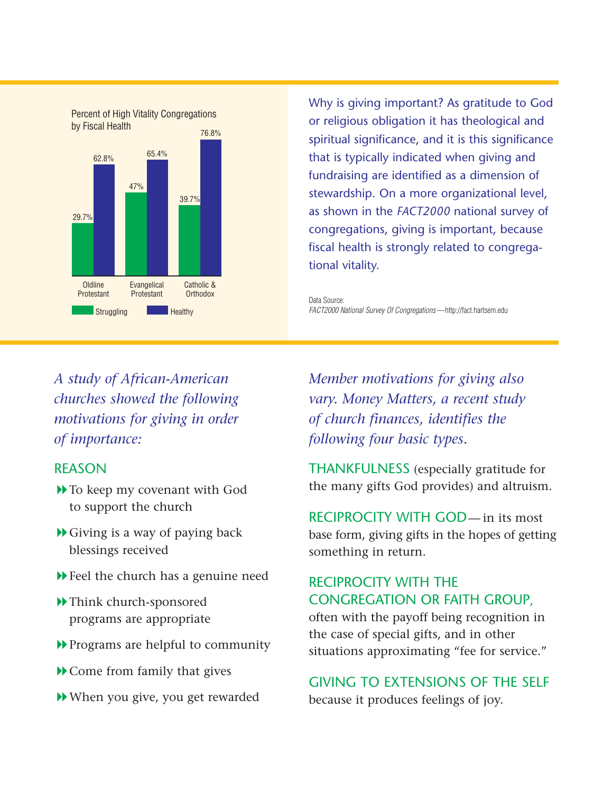



Why is giving important? As gratitude to God or religious obligation it has theological and spiritual significance, and it is this significance that is typically indicated when giving and fundraising are identified as a dimension of stewardship. On a more organizational level, as shown in the *FACT2000* national survey of congregations, giving is important, because fiscal health is strongly related to congregational vitality.

Data Source: FACT2000 National Survey Of Congregations—http://fact.hartsem.edu

*A study of African-American churches showed the following motivations for giving in order of importance:*

#### REASON

- 8To keep my covenant with God to support the church
- 8Giving is a way of paying back blessings received
- $\blacktriangleright$  Feel the church has a genuine need
- 8Think church-sponsored programs are appropriate
- 8Programs are helpful to community
- $\blacktriangleright$  Come from family that gives
- 8When you give, you get rewarded

*Member motivations for giving also vary. Money Matters, a recent study of church finances, identifies the following four basic types.* 

THANKFULNESS (especially gratitude for the many gifts God provides) and altruism.

RECIPROCITY WITH GOD— in its most base form, giving gifts in the hopes of getting something in return.

#### RECIPROCITY WITH THE CONGREGATION OR FAITH GROUP,

often with the payoff being recognition in the case of special gifts, and in other situations approximating "fee for service."

GIVING TO EXTENSIONS OF THE SELF because it produces feelings of joy.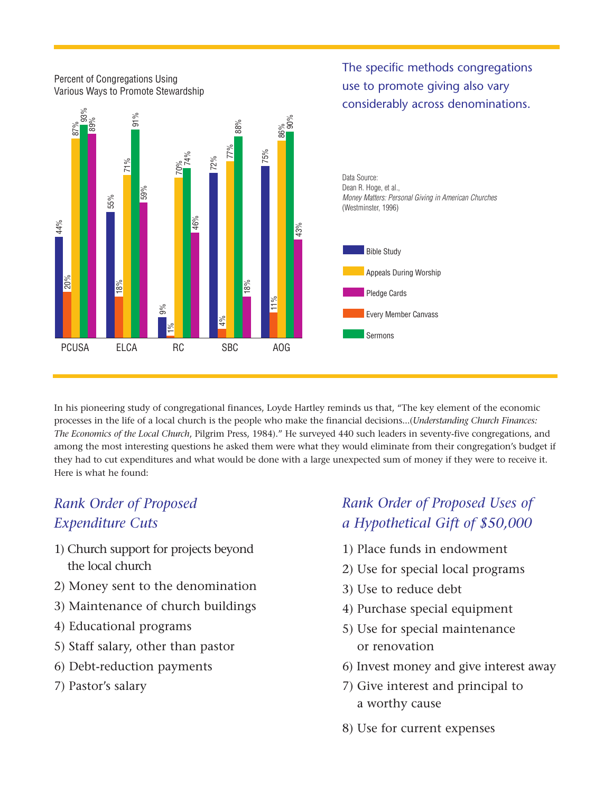

In his pioneering study of congregational finances, Loyde Hartley reminds us that, "The key element of the economic processes in the life of a local church is the people who make the financial decisions...(*Understanding Church Finances: The Economics of the Local Church*, Pilgrim Press, 1984)." He surveyed 440 such leaders in seventy-five congregations, and among the most interesting questions he asked them were what they would eliminate from their congregation's budget if they had to cut expenditures and what would be done with a large unexpected sum of money if they were to receive it. Here is what he found:

## *Rank Order of Proposed Expenditure Cuts*

- 1) Church support for projects beyond the local church
- 2) Money sent to the denomination
- 3) Maintenance of church buildings
- 4) Educational programs
- 5) Staff salary, other than pastor
- 6) Debt-reduction payments
- 7) Pastor's salary

## *Rank Order of Proposed Uses of a Hypothetical Gift of \$50,000*

- 1) Place funds in endowment
- 2) Use for special local programs
- 3) Use to reduce debt
- 4) Purchase special equipment
- 5) Use for special maintenance or renovation
- 6) Invest money and give interest away
- 7) Give interest and principal to a worthy cause
- 8) Use for current expenses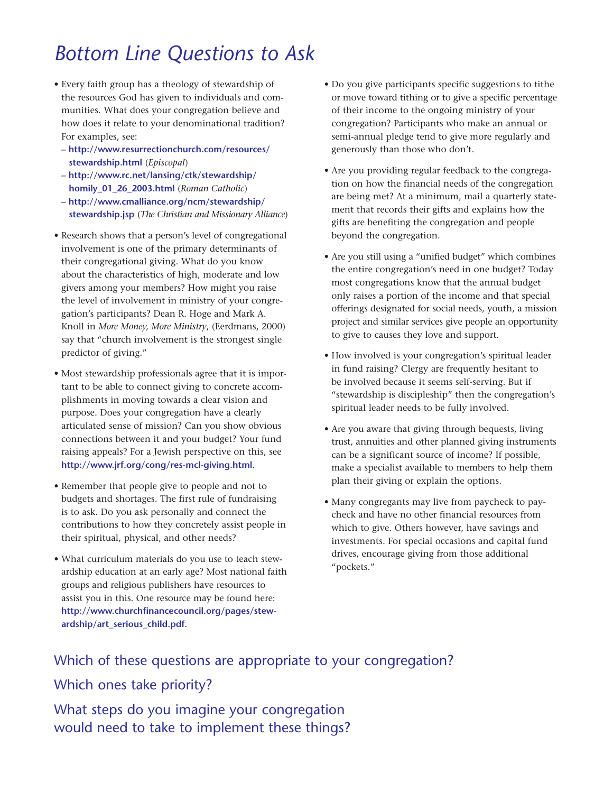# *Bottom Line Questions to Ask*

- Every faith group has a theology of stewardship of the resources God has given to individuals and communities. What does your congregation believe and how does it relate to your denominational tradition? For examples, see:
	- **http://www.resurrectionchurch.com/resources/ stewardship.html** (*Episcopal*)
	- **http://www.rc.net/lansing/ctk/stewardship/ homily\_01\_26\_2003.html** (*Roman Catholic*)
	- **http://www.cmalliance.org/ncm/stewardship/ stewardship.jsp** (*The Christian and Missionary Alliance*)
- Research shows that a person's level of congregational involvement is one of the primary determinants of their congregational giving. What do you know about the characteristics of high, moderate and low givers among your members? How might you raise the level of involvement in ministry of your congregation's participants? Dean R. Hoge and Mark A. Knoll in *More Money, More Ministry*, (Eerdmans, 2000) say that "church involvement is the strongest single predictor of giving."
- Most stewardship professionals agree that it is important to be able to connect giving to concrete accomplishments in moving towards a clear vision and purpose. Does your congregation have a clearly articulated sense of mission? Can you show obvious connections between it and your budget? Your fund raising appeals? For a Jewish perspective on this, see **http://www.jrf.org/cong/res-mcl-giving.html**.
- Remember that people give to people and not to budgets and shortages. The first rule of fundraising is to ask. Do you ask personally and connect the contributions to how they concretely assist people in their spiritual, physical, and other needs?
- What curriculum materials do you use to teach stewardship education at an early age? Most national faith groups and religious publishers have resources to assist you in this. One resource may be found here: **http://www.churchfinancecouncil.org/pages/stewardship/art\_serious\_child.pdf**.
- Do you give participants specific suggestions to tithe or move toward tithing or to give a specific percentage of their income to the ongoing ministry of your congregation? Participants who make an annual or semi-annual pledge tend to give more regularly and generously than those who don't.
- Are you providing regular feedback to the congregation on how the financial needs of the congregation are being met? At a minimum, mail a quarterly statement that records their gifts and explains how the gifts are benefiting the congregation and people beyond the congregation.
- Are you still using a "unified budget" which combines the entire congregation's need in one budget? Today most congregations know that the annual budget only raises a portion of the income and that special offerings designated for social needs, youth, a mission project and similar services give people an opportunity to give to causes they love and support.
- How involved is your congregation's spiritual leader in fund raising? Clergy are frequently hesitant to be involved because it seems self-serving. But if "stewardship is discipleship" then the congregation's spiritual leader needs to be fully involved.
- Are you aware that giving through bequests, living trust, annuities and other planned giving instruments can be a significant source of income? If possible, make a specialist available to members to help them plan their giving or explain the options.
- Many congregants may live from paycheck to paycheck and have no other financial resources from which to give. Others however, have savings and investments. For special occasions and capital fund drives, encourage giving from those additional "pockets."

#### Which of these questions are appropriate to your congregation?

#### Which ones take priority?

What steps do you imagine your congregation would need to take to implement these things?